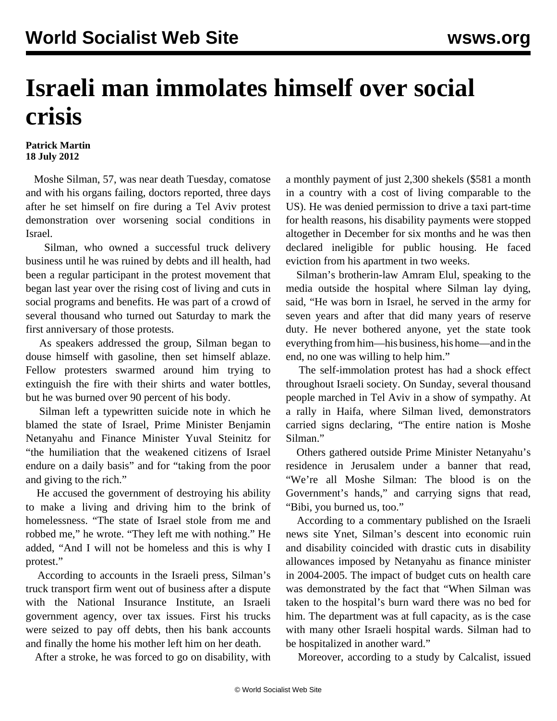## **Israeli man immolates himself over social crisis**

## **Patrick Martin 18 July 2012**

 Moshe Silman, 57, was near death Tuesday, comatose and with his organs failing, doctors reported, three days after he set himself on fire during a Tel Aviv protest demonstration over worsening social conditions in Israel.

 Silman, who owned a successful truck delivery business until he was ruined by debts and ill health, had been a regular participant in the protest movement that began last year over the rising cost of living and cuts in social programs and benefits. He was part of a crowd of several thousand who turned out Saturday to mark the first anniversary of those protests.

 As speakers addressed the group, Silman began to douse himself with gasoline, then set himself ablaze. Fellow protesters swarmed around him trying to extinguish the fire with their shirts and water bottles, but he was burned over 90 percent of his body.

 Silman left a typewritten suicide note in which he blamed the state of Israel, Prime Minister Benjamin Netanyahu and Finance Minister Yuval Steinitz for "the humiliation that the weakened citizens of Israel endure on a daily basis" and for "taking from the poor and giving to the rich."

 He accused the government of destroying his ability to make a living and driving him to the brink of homelessness. "The state of Israel stole from me and robbed me," he wrote. "They left me with nothing." He added, "And I will not be homeless and this is why I protest."

 According to accounts in the Israeli press, Silman's truck transport firm went out of business after a dispute with the National Insurance Institute, an Israeli government agency, over tax issues. First his trucks were seized to pay off debts, then his bank accounts and finally the home his mother left him on her death.

After a stroke, he was forced to go on disability, with

a monthly payment of just 2,300 shekels (\$581 a month in a country with a cost of living comparable to the US). He was denied permission to drive a taxi part-time for health reasons, his disability payments were stopped altogether in December for six months and he was then declared ineligible for public housing. He faced eviction from his apartment in two weeks.

 Silman's brotherin-law Amram Elul, speaking to the media outside the hospital where Silman lay dying, said, "He was born in Israel, he served in the army for seven years and after that did many years of reserve duty. He never bothered anyone, yet the state took everything from him—his business, his home—and in the end, no one was willing to help him."

 The self-immolation protest has had a shock effect throughout Israeli society. On Sunday, several thousand people marched in Tel Aviv in a show of sympathy. At a rally in Haifa, where Silman lived, demonstrators carried signs declaring, "The entire nation is Moshe Silman."

 Others gathered outside Prime Minister Netanyahu's residence in Jerusalem under a banner that read, "We're all Moshe Silman: The blood is on the Government's hands," and carrying signs that read, "Bibi, you burned us, too."

 According to a commentary published on the Israeli news site Ynet, Silman's descent into economic ruin and disability coincided with drastic cuts in disability allowances imposed by Netanyahu as finance minister in 2004-2005. The impact of budget cuts on health care was demonstrated by the fact that "When Silman was taken to the hospital's burn ward there was no bed for him. The department was at full capacity, as is the case with many other Israeli hospital wards. Silman had to be hospitalized in another ward."

Moreover, according to a study by Calcalist, issued